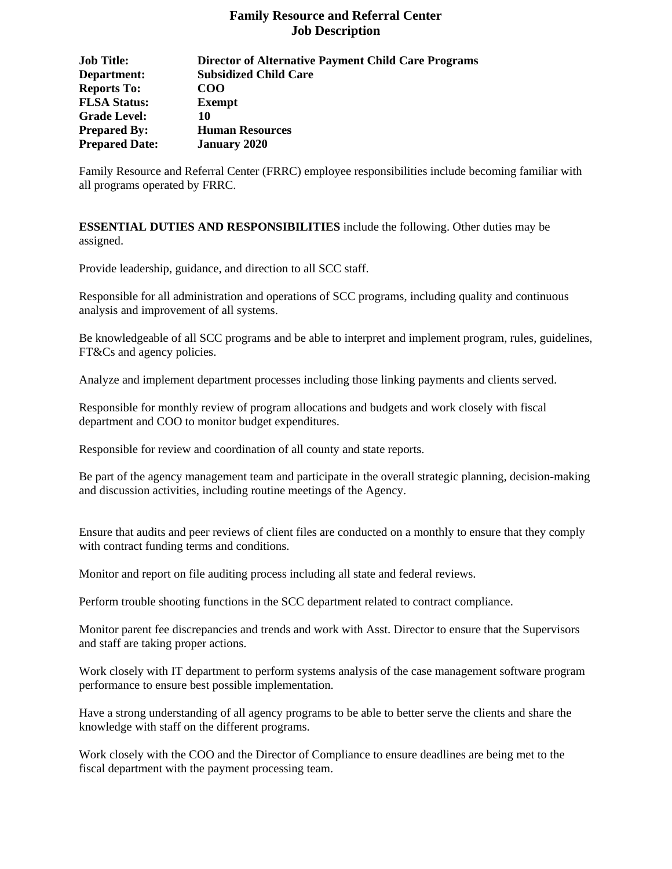## **Family Resource and Referral Center Job Description**

| <b>Job Title:</b>     | <b>Director of Alternative Payment Child Care Programs</b> |
|-----------------------|------------------------------------------------------------|
| Department:           | <b>Subsidized Child Care</b>                               |
| <b>Reports To:</b>    | COO                                                        |
| <b>FLSA Status:</b>   | <b>Exempt</b>                                              |
| <b>Grade Level:</b>   | 10                                                         |
| <b>Prepared By:</b>   | <b>Human Resources</b>                                     |
| <b>Prepared Date:</b> | <b>January 2020</b>                                        |

Family Resource and Referral Center (FRRC) employee responsibilities include becoming familiar with all programs operated by FRRC.

**ESSENTIAL DUTIES AND RESPONSIBILITIES** include the following. Other duties may be assigned.

Provide leadership, guidance, and direction to all SCC staff.

Responsible for all administration and operations of SCC programs, including quality and continuous analysis and improvement of all systems.

Be knowledgeable of all SCC programs and be able to interpret and implement program, rules, guidelines, FT&Cs and agency policies.

Analyze and implement department processes including those linking payments and clients served.

Responsible for monthly review of program allocations and budgets and work closely with fiscal department and COO to monitor budget expenditures.

Responsible for review and coordination of all county and state reports.

Be part of the agency management team and participate in the overall strategic planning, decision-making and discussion activities, including routine meetings of the Agency.

Ensure that audits and peer reviews of client files are conducted on a monthly to ensure that they comply with contract funding terms and conditions.

Monitor and report on file auditing process including all state and federal reviews.

Perform trouble shooting functions in the SCC department related to contract compliance.

Monitor parent fee discrepancies and trends and work with Asst. Director to ensure that the Supervisors and staff are taking proper actions.

Work closely with IT department to perform systems analysis of the case management software program performance to ensure best possible implementation.

Have a strong understanding of all agency programs to be able to better serve the clients and share the knowledge with staff on the different programs.

Work closely with the COO and the Director of Compliance to ensure deadlines are being met to the fiscal department with the payment processing team.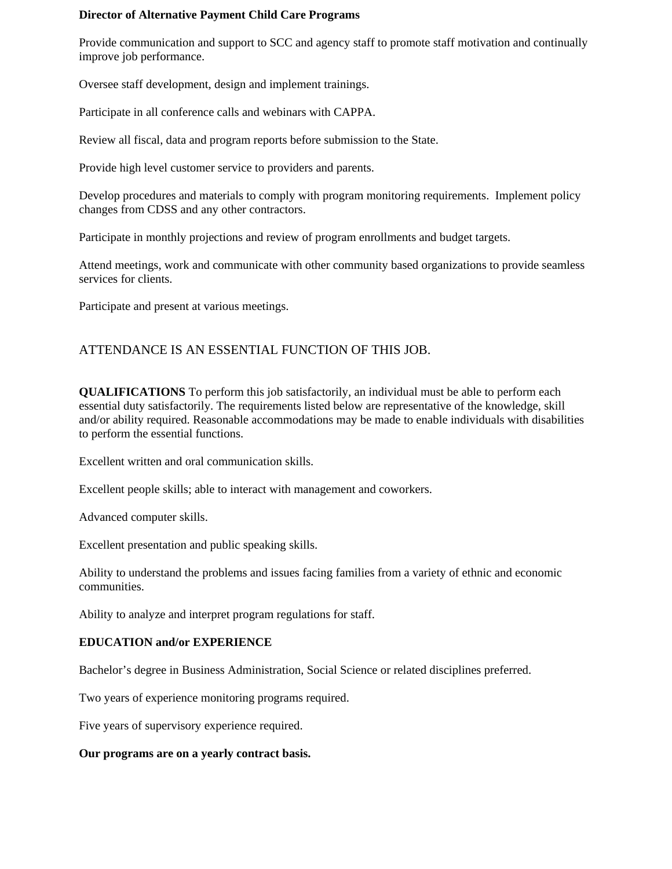### **Director of Alternative Payment Child Care Programs**

Provide communication and support to SCC and agency staff to promote staff motivation and continually improve job performance.

Oversee staff development, design and implement trainings.

Participate in all conference calls and webinars with CAPPA.

Review all fiscal, data and program reports before submission to the State.

Provide high level customer service to providers and parents.

Develop procedures and materials to comply with program monitoring requirements. Implement policy changes from CDSS and any other contractors.

Participate in monthly projections and review of program enrollments and budget targets.

Attend meetings, work and communicate with other community based organizations to provide seamless services for clients.

Participate and present at various meetings.

# ATTENDANCE IS AN ESSENTIAL FUNCTION OF THIS JOB.

**QUALIFICATIONS** To perform this job satisfactorily, an individual must be able to perform each essential duty satisfactorily. The requirements listed below are representative of the knowledge, skill and/or ability required. Reasonable accommodations may be made to enable individuals with disabilities to perform the essential functions.

Excellent written and oral communication skills.

Excellent people skills; able to interact with management and coworkers.

Advanced computer skills.

Excellent presentation and public speaking skills.

Ability to understand the problems and issues facing families from a variety of ethnic and economic communities.

Ability to analyze and interpret program regulations for staff.

### **EDUCATION and/or EXPERIENCE**

Bachelor's degree in Business Administration, Social Science or related disciplines preferred.

Two years of experience monitoring programs required.

Five years of supervisory experience required.

#### **Our programs are on a yearly contract basis.**